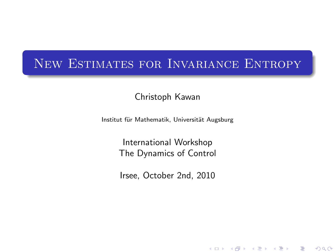## New Estimates for Invariance Entropy

Christoph Kawan

Institut für Mathematik, Universität Augsburg

International Workshop The Dynamics of Control

Irsee, October 2nd, 2010

メロト メ御 トメ 君 トメ 君 ト

 $2Q$ 

一目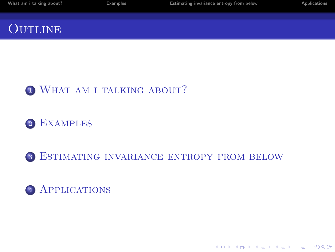| What am i talking about? | <b>Examples</b> | Estimating invariance entropy from below | <b>Applications</b> |
|--------------------------|-----------------|------------------------------------------|---------------------|
| <b>OUTLINE</b>           |                 |                                          |                     |

### <sup>1</sup> WHAT AM I TALKING ABOUT?

### <sup>2</sup> [Examples](#page-10-0)

### <sup>3</sup> [Estimating invariance entropy from below](#page-12-0)

K ロ ▶ K @ ▶ K 할 > K 할 > 1 할 > 1 이익어

### 4 APPLICATIONS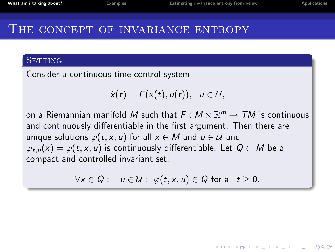**KORK ERKER ADAM ADA** 

#### THE CONCEPT OF INVARIANCE ENTROPY

#### **SETTING**

Consider a continuous-time control system

$$
\dot{x}(t)=F(x(t),u(t)), u\in\mathcal{U},
$$

on a Riemannian manifold  $M$  such that  $F:M\times \mathbb{R}^m\to \mathcal{T} M$  is continuous and continuously differentiable in the first argument. Then there are unique solutions  $\varphi(t, x, u)$  for all  $x \in M$  and  $u \in \mathcal{U}$  and  $\varphi_{t,u}(x) = \varphi(t, x, u)$  is continuously differentiable. Let  $Q \subset M$  be a compact and controlled invariant set:

<span id="page-2-0"></span> $\forall x \in Q: \exists u \in \mathcal{U}: \varphi(t, x, u) \in Q$  for all  $t \geq 0$ .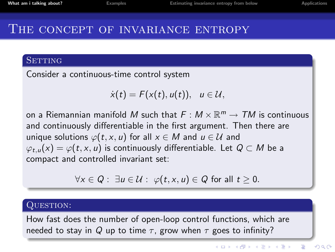### THE CONCEPT OF INVARIANCE ENTROPY

#### **SETTING**

Consider a continuous-time control system

$$
\dot{x}(t)=F(x(t),u(t)), u\in\mathcal{U},
$$

on a Riemannian manifold  $M$  such that  $F:M\times \mathbb{R}^m\to \mathcal{T} M$  is continuous and continuously differentiable in the first argument. Then there are unique solutions  $\varphi(t, x, u)$  for all  $x \in M$  and  $u \in \mathcal{U}$  and  $\varphi_{t,u}(x) = \varphi(t, x, u)$  is continuously differentiable. Let  $Q \subset M$  be a compact and controlled invariant set:

$$
\forall x \in Q: \exists u \in \mathcal{U}: \varphi(t, x, u) \in Q \text{ for all } t \geq 0.
$$

#### QUESTION:

How fast does the number of open-loop control functions, which are needed to stay in Q up to time  $\tau$ , grow when  $\tau$  goes to infinity?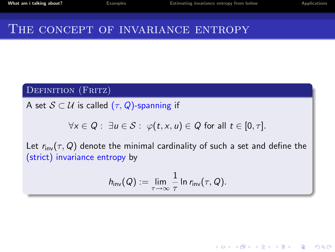**KORK ERKER ADAM ADA** 

### THE CONCEPT OF INVARIANCE ENTROPY

#### DEFINITION (FRITZ)

A set  $S \subset U$  is called  $(\tau, Q)$ -spanning if

$$
\forall x \in Q: \exists u \in S: \varphi(t, x, u) \in Q \text{ for all } t \in [0, \tau].
$$

Let  $r_{inv}(\tau, Q)$  denote the minimal cardinality of such a set and define the (strict) invariance entropy by

$$
h_{\mathsf{inv}}(Q) := \lim_{\tau \to \infty} \frac{1}{\tau} \ln r_{\mathsf{inv}}(\tau, Q).
$$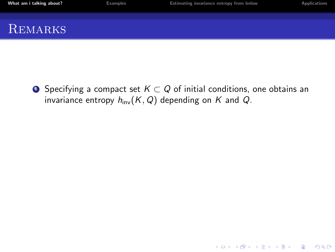| What am i talking about? | <b>Examples</b> | Estimating invariance entropy from below | <b>Applications</b> |
|--------------------------|-----------------|------------------------------------------|---------------------|
| REMARKS                  |                 |                                          |                     |

**4** Specifying a compact set  $K \subset Q$  of initial conditions, one obtains an invariance entropy  $h_{inv}(K, Q)$  depending on K and Q.

K ロ ▶ K @ ▶ K 할 ▶ K 할 ▶ | 할 | © 9 Q @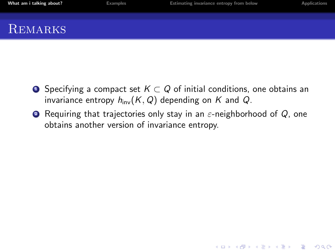| What am i talking about? | <b>Examples</b> | Estimating invariance entropy from below | <b>Applications</b> |
|--------------------------|-----------------|------------------------------------------|---------------------|
|                          |                 |                                          |                     |
| REMARKS                  |                 |                                          |                     |

- **4** Specifying a compact set  $K \subset Q$  of initial conditions, one obtains an invariance entropy  $h_{\text{inv}}(K, Q)$  depending on K and Q.
- **2** Requiring that trajectories only stay in an  $\varepsilon$ -neighborhood of Q, one obtains another version of invariance entropy.

K ロ ▶ K @ ▶ K 할 ▶ K 할 ▶ 이 할 → 9 Q @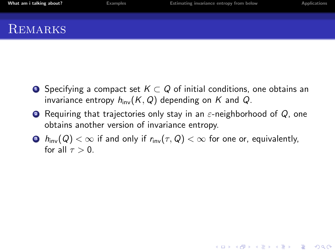| What am i talking about? | <b>Examples</b> | Estimating invariance entropy from below | Applications |
|--------------------------|-----------------|------------------------------------------|--------------|
|                          |                 |                                          |              |
| REMARKS                  |                 |                                          |              |

- **■** Specifying a compact set  $K \subset Q$  of initial conditions, one obtains an invariance entropy  $h_{\text{inv}}(K, Q)$  depending on K and Q.
- **2** Requiring that trajectories only stay in an  $\varepsilon$ -neighborhood of Q, one obtains another version of invariance entropy.
- $\bullet$   $h_{\text{inv}}(Q) < \infty$  if and only if  $r_{\text{inv}}(\tau, Q) < \infty$  for one or, equivalently, for all  $\tau > 0$ .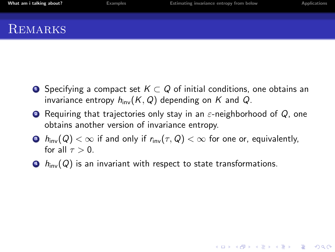- **4** Specifying a compact set  $K \subset Q$  of initial conditions, one obtains an invariance entropy  $h_{\text{inv}}(K, Q)$  depending on K and Q.
- **2** Requiring that trajectories only stay in an  $\varepsilon$ -neighborhood of Q, one obtains another version of invariance entropy.
- $\bullet$   $h_{\text{inv}}(Q) < \infty$  if and only if  $r_{\text{inv}}(\tau, Q) < \infty$  for one or, equivalently, for all  $\tau > 0$ .

 $\Theta$   $h_{\text{inv}}(Q)$  is an invariant with respect to state transformations.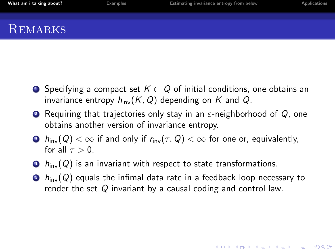**REMARKS** 

- **4** Specifying a compact set  $K \subset Q$  of initial conditions, one obtains an invariance entropy  $h_{\text{inv}}(K, Q)$  depending on K and Q.
- **2** Requiring that trajectories only stay in an  $\varepsilon$ -neighborhood of Q, one obtains another version of invariance entropy.
- $\bullet$   $h_{\text{inv}}(Q) < \infty$  if and only if  $r_{\text{inv}}(\tau, Q) < \infty$  for one or, equivalently, for all  $\tau > 0$ .
- $\Theta$   $h_{\text{inv}}(Q)$  is an invariant with respect to state transformations.
- $\bullet$   $h_{\text{inv}}(Q)$  equals the infimal data rate in a feedback loop necessary to render the set Q invariant by a causal coding and control law.

**KORKAR KERKER E VOOR**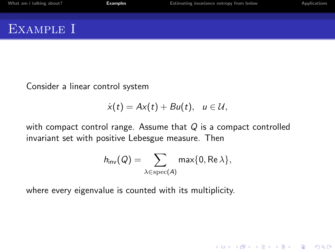Consider a linear control system

$$
\dot{x}(t) = Ax(t) + Bu(t), u \in \mathcal{U},
$$

with compact control range. Assume that  $Q$  is a compact controlled invariant set with positive Lebesgue measure. Then

$$
h_{\mathsf{inv}}(Q) = \sum_{\lambda \in \mathrm{spec}(A)} \mathsf{max}\{0, \mathsf{Re}\,\lambda\},
$$

K ロ ▶ K @ ▶ K 할 ▶ K 할 ▶ | 할 | © 9 Q @

<span id="page-10-0"></span>where every eigenvalue is counted with its multiplicity.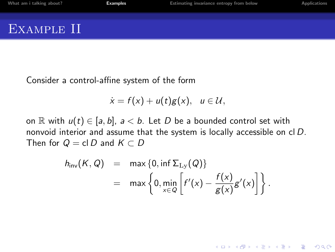Consider a control-affine system of the form

$$
\dot{x}=f(x)+u(t)g(x), u\in\mathcal{U},
$$

on R with  $u(t) \in [a, b]$ ,  $a < b$ . Let D be a bounded control set with nonvoid interior and assume that the system is locally accessible on cl D. Then for  $Q = cl D$  and  $K \subset D$ 

$$
h_{\text{inv}}(K, Q) = \max \{0, \inf \Sigma_{\text{Ly}}(Q)\}
$$
  
= 
$$
\max \left\{0, \min_{x \in Q} \left[f'(x) - \frac{f(x)}{g(x)}g'(x)\right]\right\}.
$$

**KORK STRATER STRAKER**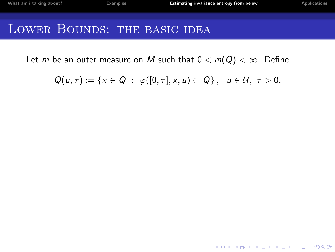K ロ ▶ K @ ▶ K 할 ▶ K 할 ▶ | 할 | © 9 Q @

## LOWER BOUNDS: THE BASIC IDEA

Let m be an outer measure on M such that  $0 < m(Q) < \infty$ . Define

<span id="page-12-0"></span>
$$
Q(u,\tau):=\{x\in Q\;:\;\varphi([0,\tau],x,u)\subset Q\}\,,\quad u\in\mathcal{U},\;\tau>0.
$$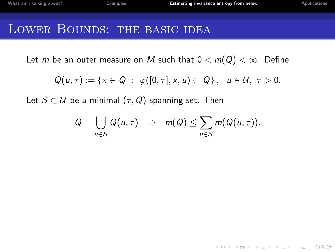## LOWER BOUNDS: THE BASIC IDEA

Let m be an outer measure on M such that  $0 < m(Q) < \infty$ . Define

$$
Q(u,\tau):=\{x\in Q\;:\;\varphi([0,\tau],x,u)\subset Q\}\,,\quad u\in\mathcal{U},\;\tau>0.
$$

Let  $S \subset \mathcal{U}$  be a minimal  $(\tau, Q)$ -spanning set. Then

$$
Q = \bigcup_{u \in S} Q(u, \tau) \Rightarrow m(Q) \leq \sum_{u \in S} m(Q(u, \tau)).
$$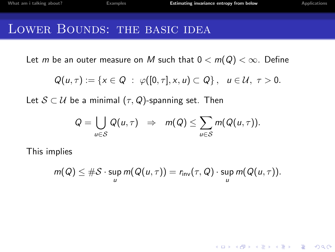### LOWER BOUNDS: THE BASIC IDEA

Let m be an outer measure on M such that  $0 < m(Q) < \infty$ . Define

$$
Q(u,\tau):=\{x\in Q\;:\;\varphi([0,\tau],x,u)\subset Q\}\,,\quad u\in\mathcal{U},\;\tau>0.
$$

Let  $S \subset U$  be a minimal  $(\tau, Q)$ -spanning set. Then

$$
Q = \bigcup_{u \in S} Q(u, \tau) \Rightarrow m(Q) \leq \sum_{u \in S} m(Q(u, \tau)).
$$

This implies

$$
m(Q) \leq \#\mathcal{S} \cdot \sup_{u} m(Q(u,\tau)) = r_{\mathsf{inv}}(\tau,Q) \cdot \sup_{u} m(Q(u,\tau)).
$$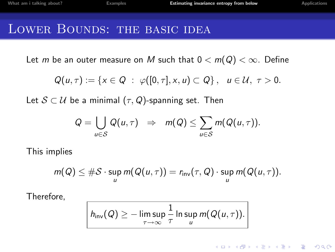## LOWER BOUNDS: THE BASIC IDEA

Let m be an outer measure on M such that  $0 < m(Q) < \infty$ . Define

$$
Q(u,\tau):=\{x\in Q\;:\;\varphi([0,\tau],x,u)\subset Q\}\,,\quad u\in\mathcal{U},\;\tau>0.
$$

Let  $S \subset U$  be a minimal  $(\tau, Q)$ -spanning set. Then

$$
Q = \bigcup_{u \in S} Q(u, \tau) \Rightarrow m(Q) \leq \sum_{u \in S} m(Q(u, \tau)).
$$

This implies

$$
m(Q) \leq \#\mathcal{S} \cdot \sup_{u} m(Q(u,\tau)) = r_{\mathsf{inv}}(\tau,Q) \cdot \sup_{u} m(Q(u,\tau)).
$$

Therefore,

$$
h_{\text{inv}}(Q) \geq -\limsup_{\tau \to \infty} \frac{1}{\tau} \ln \sup_{u} m(Q(u, \tau)).
$$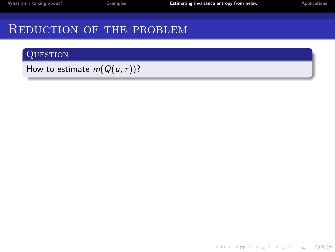[What am i talking about?](#page-2-0) **[Examples](#page-10-0)** Examples **[Estimating invariance entropy from below](#page-12-0)** [Applications](#page-29-0)

**K ロ ▶ K @ ▶ K 할 X X 할 X 및 할 X X Q Q O** 

## REDUCTION OF THE PROBLEM

#### **QUESTION**

How to estimate  $m(Q(u, \tau))$ ?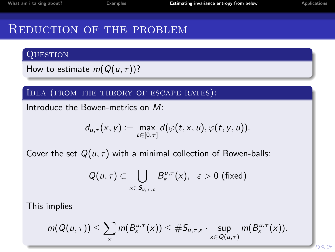### REDUCTION OF THE PROBLEM

#### **QUESTION**

How to estimate  $m(Q(u, \tau))$ ?

Idea (from the theory of escape rates):

Introduce the Bowen-metrics on M:

$$
d_{u,\tau}(x,y):=\max_{t\in[0,\tau]}d(\varphi(t,x,u),\varphi(t,y,u)).
$$

Cover the set  $Q(u, \tau)$  with a minimal collection of Bowen-balls:

$$
Q(u,\tau) \subset \bigcup_{x \in S_{u,\tau,\varepsilon}} B_{\varepsilon}^{u,\tau}(x), \quad \varepsilon > 0 \text{ (fixed)}
$$

This implies

$$
m(Q(u,\tau))\leq \sum_{x}m(B_{\varepsilon}^{u,\tau}(x))\leq \#S_{u,\tau,\varepsilon}\cdot \sup_{x\in Q(u,\tau)}m(B_{\varepsilon}^{u,\tau}(x)).
$$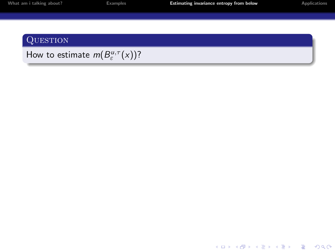| What am i talking about |  |  |  |  |  |  |
|-------------------------|--|--|--|--|--|--|
|-------------------------|--|--|--|--|--|--|

#### **QUESTION**

How to estimate  $m(B^{u,\tau}_{\varepsilon}(x))$ ?

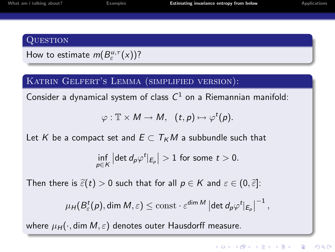#### **QUESTION**

### How to estimate  $m(B^{u,\tau}_{\varepsilon}(x))$ ?

#### KATRIN GELFERT'S LEMMA (SIMPLIFIED VERSION):

Consider a dynamical system of class  $C^1$  on a Riemannian manifold:

$$
\varphi: \mathbb{T} \times M \to M, \ \ (t,p) \mapsto \varphi^t(p).
$$

Let K be a compact set and  $E \subset T_KM$  a subbundle such that

$$
\inf_{p\in K} |\det d_p \varphi^t|_{E_p}| > 1
$$
 for some  $t > 0$ .

Then there is  $\tilde{\varepsilon}(t) > 0$  such that for all  $p \in K$  and  $\varepsilon \in (0, \tilde{\varepsilon}]$ :

$$
\mu_H(B^t_{\varepsilon}(p), \dim M, \varepsilon) \leq \text{const} \cdot \varepsilon^{\dim M} \left| \det d_p \varphi^t |_{E_p} \right|^{-1},
$$

where  $\mu_H(\cdot, \text{dim } M, \varepsilon)$  denotes outer Hausdorff measure.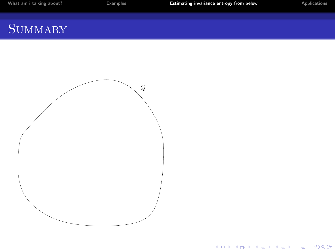| What am i talking about? |
|--------------------------|
|--------------------------|

[Examples](#page-10-0) **Examples** [Estimating invariance entropy from below](#page-12-0) **[Applications](#page-29-0)** 

K ロ ▶ K @ ▶ K 할 ▶ K 할 ▶ | 할 | ⊙Q @

# SUMMARY

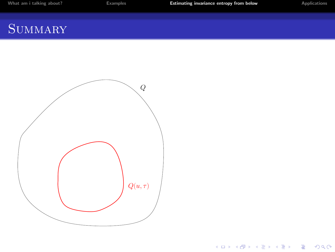| What am i talking about? |  |  |  |
|--------------------------|--|--|--|
|--------------------------|--|--|--|

[Examples](#page-10-0) **Examples** [Estimating invariance entropy from below](#page-12-0) **[Applications](#page-29-0)** 

**K ロ ▶ K 레 ▶ K 코 ▶ K 코 ▶ 『코』 ◆ 9 Q @** 

## SUMMARY

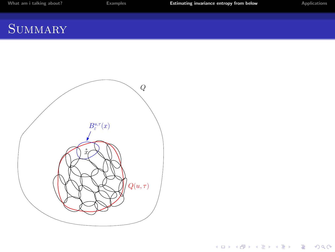| What am |  | i talking about? |  |  |
|---------|--|------------------|--|--|
|---------|--|------------------|--|--|

[Examples](#page-10-0) **[Estimating invariance entropy from below](#page-12-0)** [Applications](#page-29-0)

K ロ K K (P) K (E) K (E) X (E) X (P) K (P)

## SUMMARY

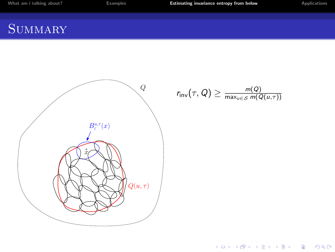[What am i talking about?](#page-2-0) **[Examples](#page-10-0)** Examples **[Estimating invariance entropy from below](#page-12-0)** [Applications](#page-29-0)

## **SUMMARY**



$$
r_{\mathsf{inv}}(\tau, Q) \geq \frac{m(Q)}{\max_{u \in \mathcal{S}} m(Q(u, \tau))}
$$

K ロ X イロ X K ミ X K ミ X ミ → S V C Y C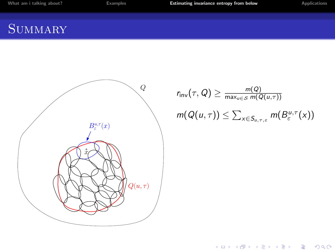# **SUMMARY**



$$
r_{\text{inv}}(\tau, Q) \ge \frac{m(Q)}{\max_{u \in S} m(Q(u, \tau))}
$$

$$
m(Q(u, \tau)) \le \sum_{x \in S_{u, \tau, \varepsilon}} m(B_{\varepsilon}^{u, \tau}(x))
$$

K ロ X イロ X K ミ X K ミ X ミ → S V C Y C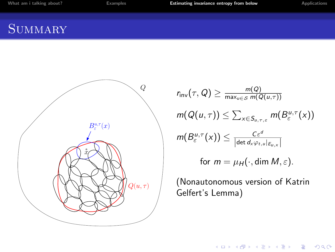[What am i talking about?](#page-2-0) **[Examples](#page-10-0)** Examples **[Estimating invariance entropy from below](#page-12-0)** [Applications](#page-29-0)

# SUMMARY<sup></sup>



$$
r_{\mathsf{inv}}(\tau, Q) \ge \frac{m(Q)}{\max_{u \in S} m(Q(u, \tau))}
$$
  

$$
m(Q(u, \tau)) \le \sum_{x \in S_{u, \tau, \varepsilon}} m(B_{\varepsilon}^{u, \tau}(x))
$$
  

$$
m(B_{\varepsilon}^{u, \tau}(x)) \le \frac{C \varepsilon^{d}}{|\det d_{x} \varphi_{t, u}|_{E_{u, x}}|}
$$
  
for  $m = \mu_{H}(\cdot, \dim M, \varepsilon)$ .

(Nonautonomous version of Katrin Gelfert's Lemma)

K ロ ▶ K @ ▶ K 할 ▶ K 할 ▶ | 할 | ⊙Q @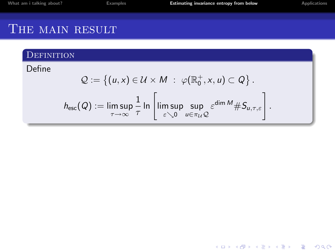## THE MAIN RESULT

#### **DEFINITION**

Define

$$
Q := \left\{ (u, x) \in \mathcal{U} \times M : \varphi(\mathbb{R}_0^+, x, u) \subset Q \right\}.
$$
  

$$
h_{\rm esc}(Q) := \limsup_{\tau \to \infty} \frac{1}{\tau} \ln \left[ \limsup_{\varepsilon \searrow 0} \sup_{u \in \pi_{\mathcal{U}}} \varepsilon^{\dim M} \# S_{u, \tau, \varepsilon} \right].
$$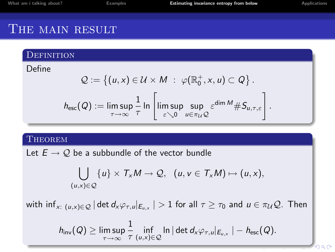### THE MAIN RESULT

#### **DEFINITION**

Define

$$
Q := \left\{ (u, x) \in \mathcal{U} \times M : \varphi(\mathbb{R}_0^+, x, u) \subset Q \right\}.
$$
  

$$
h_{\text{esc}}(Q) := \limsup_{\tau \to \infty} \frac{1}{\tau} \ln \left[ \limsup_{\varepsilon \searrow 0} \sup_{u \in \pi_{\mathcal{U}}} \varepsilon^{\dim M} \# S_{u, \tau, \varepsilon} \right].
$$

#### **THEOREM**

Let  $E \to Q$  be a subbundle of the vector bundle

$$
\bigcup_{(u,x)\in\mathcal{Q}}\{u\}\times\mathcal{T}_{x}M\rightarrow\mathcal{Q},\ \ (u,v\in\mathcal{T}_{x}M)\mapsto(u,x),
$$

with inf $_{\sf x:\; (u,x)\in\cal Q}$   $|$  det  $d_{\sf x}\varphi_{\tau,u}|_{E_{u,{\sf x}}}\,|>1$  for all  $\tau\geq\tau_0$  and  $u\in\pi_{\cal U} {\cal Q}.$  Then

$$
h_{\mathsf{inv}}(Q) \geq \limsup_{\tau \to \infty} \frac{1}{\tau} \inf_{(u,x) \in \mathcal{Q}} \ln |\det d_x \varphi_{\tau,u}|_{E_{u,x}} | - h_{\mathsf{esc}}(Q).
$$

 $290$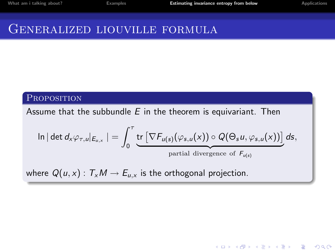**K ロ ▶ K @ ▶ K 할 X X 할 X 및 할 X X Q Q O** 

### GENERALIZED LIOUVILLE FORMULA

#### **PROPOSITION**

Assume that the subbundle  $E$  in the theorem is equivariant. Then

$$
\ln|\det d_{x}\varphi_{\tau,u}|_{E_{u,x}}| = \int_{0}^{\tau} \underbrace{\text{tr}\left[\nabla F_{u(s)}(\varphi_{s,u}(x)) \circ Q(\Theta_{s}u, \varphi_{s,u}(x))\right]}_{\text{partial divergence of } F_{u(s)}} ds,
$$

where  $Q(u, x)$ :  $T_xM \to E_{u,x}$  is the orthogonal projection.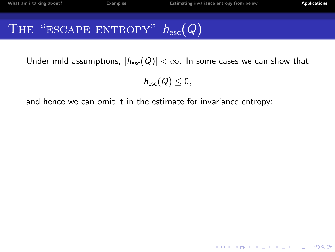**K ロ ▶ K @ ▶ K 할 X X 할 X 및 할 X X Q Q O** 

# THE "ESCAPE ENTROPY"  $h_{\text{esc}}(Q)$

Under mild assumptions,  $|h_{esc}(Q)| < \infty$ . In some cases we can show that

 $h_{\rm esc}(Q) \leq 0$ ,

<span id="page-29-0"></span>and hence we can omit it in the estimate for invariance entropy: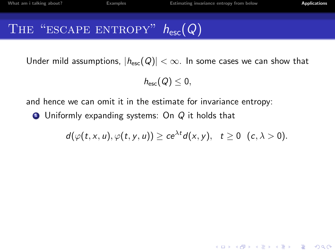# THE "ESCAPE ENTROPY"  $h_{\text{esc}}(Q)$

Under mild assumptions,  $|h_{esc}(Q)| < \infty$ . In some cases we can show that

 $h_{\text{esc}}(Q) < 0$ ,

and hence we can omit it in the estimate for invariance entropy:

 $\bullet$  Uniformly expanding systems: On  $Q$  it holds that

$$
d(\varphi(t,x,u),\varphi(t,y,u))\geq ce^{\lambda t}d(x,y),\quad t\geq 0\quad(c,\lambda>0).
$$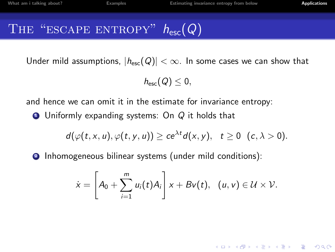# THE "ESCAPE ENTROPY"  $h_{\text{esc}}(Q)$

Under mild assumptions,  $|h_{esc}(Q)| < \infty$ . In some cases we can show that

 $h_{\text{esc}}(Q) < 0$ ,

and hence we can omit it in the estimate for invariance entropy:

 $\bullet$  Uniformly expanding systems: On Q it holds that

$$
d(\varphi(t,x,u),\varphi(t,y,u))\geq ce^{\lambda t}d(x,y),\quad t\geq 0\quad(c,\lambda>0).
$$

<sup>2</sup> Inhomogeneous bilinear systems (under mild conditions):

$$
\dot{x}=\left[A_0+\sum_{i=1}^m u_i(t)A_i\right]x+Bv(t), \ \ (u,v)\in\mathcal{U}\times\mathcal{V}.
$$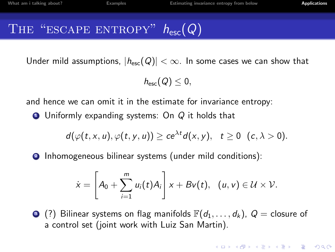# THE "ESCAPE ENTROPY"  $h_{\text{esc}}(Q)$

Under mild assumptions,  $|h_{\text{esc}}(Q)| < \infty$ . In some cases we can show that

 $h_{\text{esc}}(Q) < 0$ ,

and hence we can omit it in the estimate for invariance entropy:

 $\bullet$  Uniformly expanding systems: On Q it holds that

$$
d(\varphi(t,x,u),\varphi(t,y,u))\geq ce^{\lambda t}d(x,y),\quad t\geq 0\quad(c,\lambda>0).
$$

<sup>2</sup> Inhomogeneous bilinear systems (under mild conditions):

$$
\dot{x}=\left[A_0+\sum_{i=1}^m u_i(t)A_i\right]x+Bv(t), \ \ (u,v)\in\mathcal{U}\times\mathcal{V}.
$$

 $\odot$  (?) Bilinear systems on flag manifolds  $\mathbb{F}(d_1,\ldots,d_k)$ ,  $Q =$  closure of a control set (joint work with Luiz San Martin).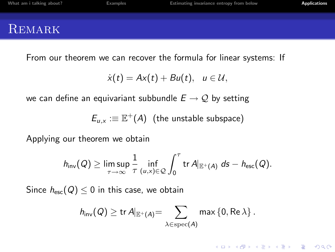| What am i talking about? | <b>Examples</b> | Estimating invariance entropy from below | <b>Applications</b> |
|--------------------------|-----------------|------------------------------------------|---------------------|
| REMARK                   |                 |                                          |                     |

From our theorem we can recover the formula for linear systems: If

$$
\dot{x}(t) = Ax(t) + Bu(t), u \in \mathcal{U},
$$

we can define an equivariant subbundle  $E \rightarrow \mathcal{Q}$  by setting

 $E_{\mu,\times}:\equiv \mathbb{E}^+(A)$  (the unstable subspace)

Applying our theorem we obtain

$$
h_{\mathsf{inv}}(Q) \geq \limsup_{\tau \to \infty} \frac{1}{\tau} \inf_{(u,x) \in Q} \int_0^{\tau} \mathsf{tr}\, A|_{\mathbb{E}^+(A)} \; ds - h_{\mathsf{esc}}(Q).
$$

Since  $h_{\rm esc}(Q) \leq 0$  in this case, we obtain

$$
h_{\mathsf{inv}}(Q) \ge \text{tr}\, A|_{\mathbb{E}^+(A)} = \sum_{\lambda \in \text{spec}(A)} \max \left\{0, \text{Re}\, \lambda \right\}.
$$

K ロ ▶ K @ ▶ K 할 > K 할 > 1 할 > 1 이익어